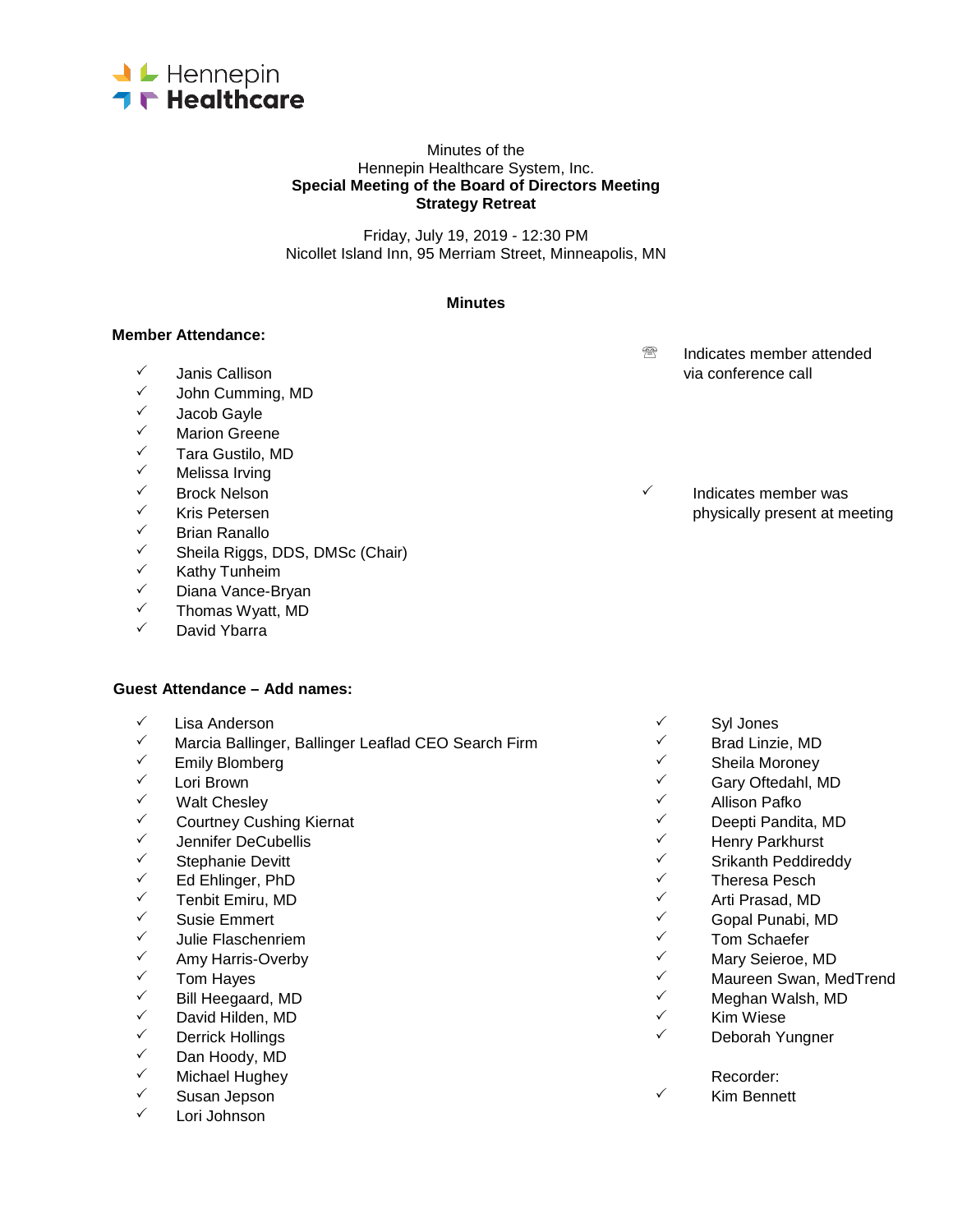

#### Minutes of the Hennepin Healthcare System, Inc. **Special Meeting of the Board of Directors Meeting Strategy Retreat**

Friday, July 19, 2019 - 12:30 PM Nicollet Island Inn, 95 Merriam Street, Minneapolis, MN

#### **Minutes**

### **Member Attendance:**

- 
- <del>V</del> John Cumming, MD<br>V Lacob Gayle
- 
- ✓ Jacob Gayle<br>✓ Marion Greer
- V Marion Greene<br>V Tara Gustilo M <del>V</del> Tara Gustilo, MD<br>V Melissa Irving
- ✓ Melissa Irving<br>✓ Brock Nelson
- 
- 
- ✓ Brian Ranallo<br>✓ Sheila Riggs
- ✓ Sheila Riggs, DDS, DMSc (Chair)<br>✓ Kathy Tunbeim
- V Kathy Tunheim<br>V Diana Vance-Br
- V Diana Vance-Bryan<br>V → Thomas Wyatt, MD
- Thomas Wyatt, MD
- David Ybarra

#### **Guest Attendance – Add names:**

- 
- Lisa Anderson Syl Jones  $\frac{1}{2}$  Marcia Ballinger, Ballinger Leaflad CEO Search Firm  $\frac{1}{2}$  Brad Linzie, MD<br>Camily Blomberg
- 
- 
- 
- ← Courtney Cushing Kiernat 
→ Courtney Cushing Kiernat 
→ Deepti Pandita, MD<br>← Jennifer DeCubellis
- Jennifer DeCubellis Henry Parkhurst
- 
- 
- 
- 
- Julie Flaschenriem Tom Schaefer
- Amy Harris-Overby Mary Seieroe, MD
- 
- Bill Heegaard, MD Meghan Walsh, MD
- <sup>√</sup> David Hilden, MD<br><sup>√</sup> Derrick Hollings
- 
- ✓ Dan Hoody, MD<br>✓ Michael Hughey
- V Michael Hughey Recorder:<br>V Susan Jenson Recorder: A Susan Recorder: A Susan Recorder: A Susan Recorder: A Susan Recorder: A Susan Recorder:
- 
- Lori Johnson
- <sup>®</sup> Indicates member attended  $\checkmark$  Janis Callison via conference call via conference call via conference call
- $\checkmark$  Brock Nelson Brock Nelson Brock Nelson Brock Authority Control at the Indicates member was a series of the Indicates member was a series of the Indicates member was a series of the Indicates member was a series of t  $\checkmark$  Kris Petersen physically present at meeting physically present at meeting physically present at meeting  $\checkmark$

- 
- 
- Emily Blomberg Sheila Moroney
	- Lori Brown Gary Oftedahl, MD
- Walt Chesley Allison Pafko
	-
	-
- Stephanie Devitt Srikanth Peddireddy
- Ed Ehlinger, PhD Theresa Pesch
- Tenbit Emiru, MD Arti Prasad, MD
- Susie Emmert Gopal Punabi, MD
	-
	-
- Tom Hayes Maureen Swan, MedTrend
	-
	-
- <sup>√</sup> Derrick Hollings Deborah Yungner<br>✓ Dan Hoody MD

Susan Jepson **Kim Bennett** Windows and Susan Jepson and Susan Museum of Windows and Kim Bennett